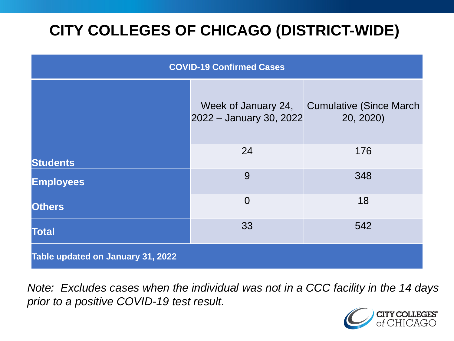# **CITY COLLEGES OF CHICAGO (DISTRICT-WIDE)**

| <b>COVID-19 Confirmed Cases</b>   |                                                |                                              |
|-----------------------------------|------------------------------------------------|----------------------------------------------|
|                                   | Week of January 24,<br>2022 - January 30, 2022 | <b>Cumulative (Since March)</b><br>20, 2020) |
| <b>Students</b>                   | 24                                             | 176                                          |
| <b>Employees</b>                  | 9                                              | 348                                          |
| <b>Others</b>                     | $\overline{0}$                                 | 18                                           |
| <b>Total</b>                      | 33                                             | 542                                          |
| Table updated on January 31, 2022 |                                                |                                              |

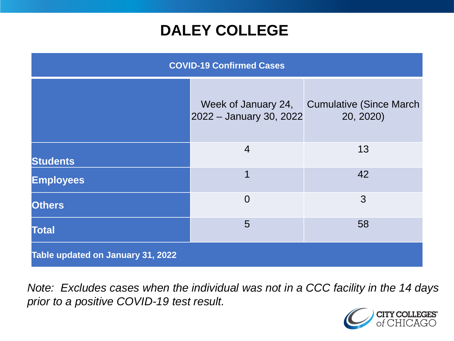## **DALEY COLLEGE**

| <b>COVID-19 Confirmed Cases</b>   |                                                |                                              |
|-----------------------------------|------------------------------------------------|----------------------------------------------|
|                                   | Week of January 24,<br>2022 - January 30, 2022 | <b>Cumulative (Since March)</b><br>20, 2020) |
| <b>Students</b>                   | $\overline{4}$                                 | 13                                           |
| <b>Employees</b>                  | $\overline{1}$                                 | 42                                           |
| <b>Others</b>                     | $\overline{0}$                                 | 3                                            |
| <b>Total</b>                      | 5                                              | 58                                           |
| Table updated on January 31, 2022 |                                                |                                              |

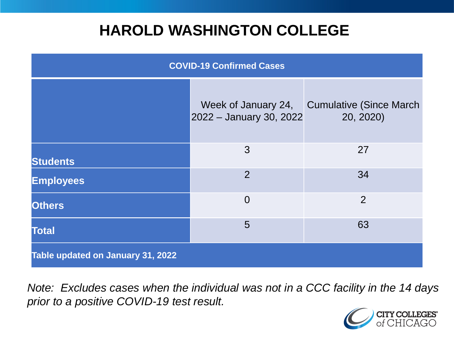## **HAROLD WASHINGTON COLLEGE**

| <b>COVID-19 Confirmed Cases</b>   |                                                |                                              |
|-----------------------------------|------------------------------------------------|----------------------------------------------|
|                                   | Week of January 24,<br>2022 - January 30, 2022 | <b>Cumulative (Since March)</b><br>20, 2020) |
| <b>Students</b>                   | 3                                              | 27                                           |
| <b>Employees</b>                  | 2                                              | 34                                           |
| <b>Others</b>                     | $\overline{0}$                                 | $\overline{2}$                               |
| <b>Total</b>                      | 5                                              | 63                                           |
| Table updated on January 31, 2022 |                                                |                                              |

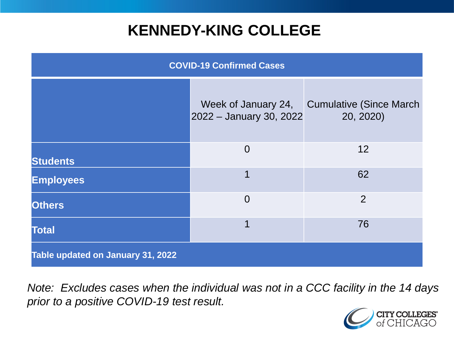## **KENNEDY-KING COLLEGE**

| <b>COVID-19 Confirmed Cases</b>   |                                                |                                              |
|-----------------------------------|------------------------------------------------|----------------------------------------------|
|                                   | Week of January 24,<br>2022 - January 30, 2022 | <b>Cumulative (Since March)</b><br>20, 2020) |
| <b>Students</b>                   | $\overline{0}$                                 | 12                                           |
| <b>Employees</b>                  | 1                                              | 62                                           |
| <b>Others</b>                     | $\overline{0}$                                 | $\overline{2}$                               |
| <b>Total</b>                      | 1                                              | 76                                           |
| Table updated on January 31, 2022 |                                                |                                              |

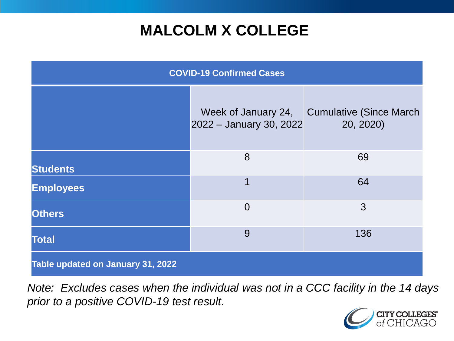# **MALCOLM X COLLEGE**

| <b>COVID-19 Confirmed Cases</b>   |                                                |                                              |
|-----------------------------------|------------------------------------------------|----------------------------------------------|
|                                   | Week of January 24,<br>2022 - January 30, 2022 | <b>Cumulative (Since March)</b><br>20, 2020) |
| <b>Students</b>                   | 8                                              | 69                                           |
| <b>Employees</b>                  | 1                                              | 64                                           |
| <b>Others</b>                     | $\overline{0}$                                 | 3                                            |
| <b>Total</b>                      | 9                                              | 136                                          |
| Table updated on January 31, 2022 |                                                |                                              |

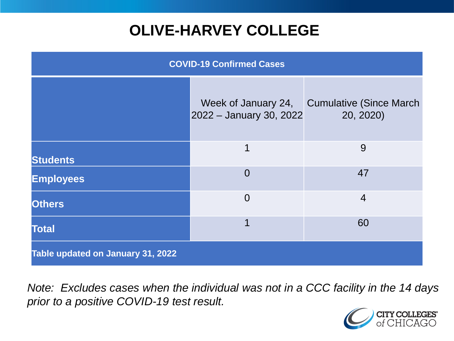# **OLIVE-HARVEY COLLEGE**

| <b>COVID-19 Confirmed Cases</b>   |                                                |                                              |
|-----------------------------------|------------------------------------------------|----------------------------------------------|
|                                   | Week of January 24,<br>2022 - January 30, 2022 | <b>Cumulative (Since March)</b><br>20, 2020) |
| <b>Students</b>                   | 1                                              | 9                                            |
| <b>Employees</b>                  | $\Omega$                                       | 47                                           |
| <b>Others</b>                     | $\overline{0}$                                 | $\overline{4}$                               |
| <b>Total</b>                      | 1                                              | 60                                           |
| Table updated on January 31, 2022 |                                                |                                              |

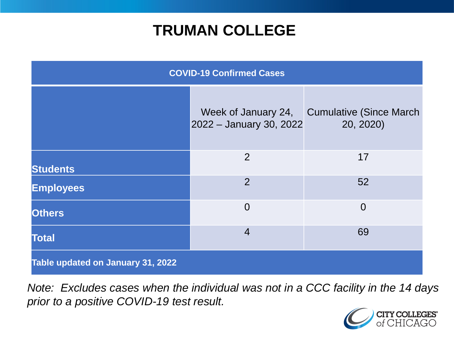## **TRUMAN COLLEGE**

| <b>COVID-19 Confirmed Cases</b>   |                                                |                                              |
|-----------------------------------|------------------------------------------------|----------------------------------------------|
|                                   | Week of January 24,<br>2022 - January 30, 2022 | <b>Cumulative (Since March)</b><br>20, 2020) |
| <b>Students</b>                   | $\overline{2}$                                 | 17                                           |
| <b>Employees</b>                  | $\overline{2}$                                 | 52                                           |
| <b>Others</b>                     | $\overline{0}$                                 | $\overline{0}$                               |
| <b>Total</b>                      | $\overline{4}$                                 | 69                                           |
| Table updated on January 31, 2022 |                                                |                                              |

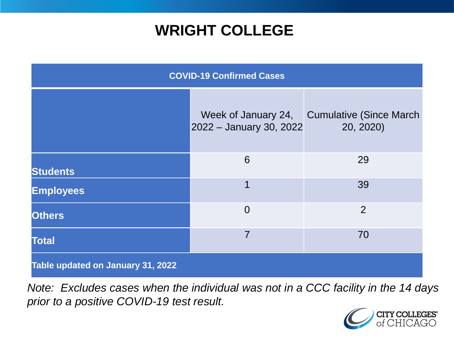## **WRIGHT COLLEGE**

| <b>COVID-19 Confirmed Cases</b>   |                                                |                                              |
|-----------------------------------|------------------------------------------------|----------------------------------------------|
|                                   | Week of January 24,<br>2022 - January 30, 2022 | <b>Cumulative (Since March)</b><br>20, 2020) |
| <b>Students</b>                   | 6                                              | 29                                           |
| <b>Employees</b>                  | 1                                              | 39                                           |
| <b>Others</b>                     | $\overline{0}$                                 | $\overline{2}$                               |
| <b>Total</b>                      | 7                                              | 70                                           |
| Table updated on January 31, 2022 |                                                |                                              |

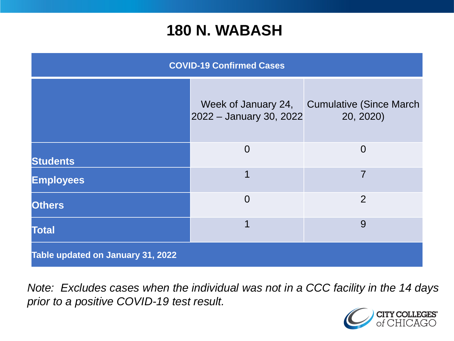#### **180 N. WABASH**

| <b>COVID-19 Confirmed Cases</b>   |                                                |                                              |
|-----------------------------------|------------------------------------------------|----------------------------------------------|
|                                   | Week of January 24,<br>2022 - January 30, 2022 | <b>Cumulative (Since March)</b><br>20, 2020) |
| <b>Students</b>                   | $\Omega$                                       | $\Omega$                                     |
| <b>Employees</b>                  | 1                                              | 7                                            |
| <b>Others</b>                     | $\overline{0}$                                 | $\overline{2}$                               |
| <b>Total</b>                      | 1                                              | 9                                            |
| Table updated on January 31, 2022 |                                                |                                              |